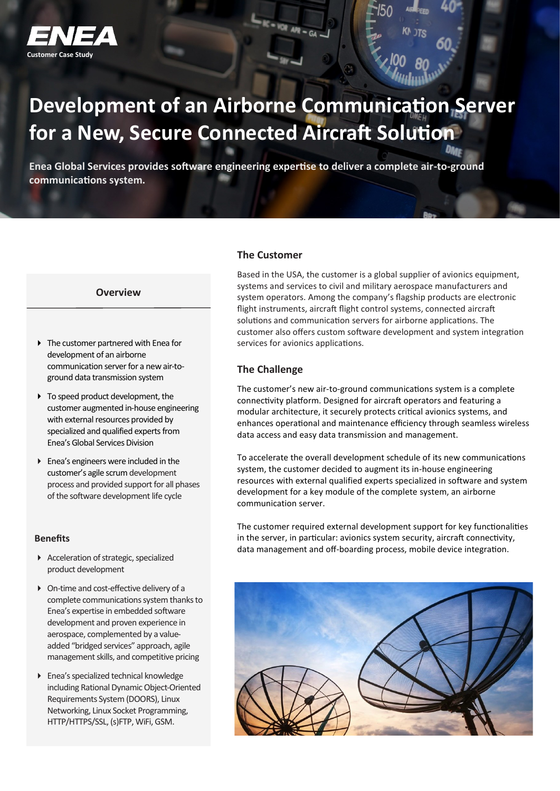

# **Development of an Airborne Communication Server for a New, Secure Connected Aircraft Solution**

 $R = 10R$  AR = GA.

**Enea Global Services provides software engineering expertise to deliver a complete air-to-ground communications system.**

#### **Overview**

- ▶ The customer partnered with Enea for development of an airborne communication server for a new air-toground data transmission system
- $\triangleright$  To speed product development, the customer augmented in-house engineering with external resources provided by specialized and qualified experts from Enea's Global Services Division
- Enea's engineers were included in the customer's agile scrum development process and provided support for all phases of the software development life cycle

## **Benefits**

- Acceleration of strategic, specialized product development
- On-time and cost-effective delivery of a complete communications system thanks to Enea's expertise in embedded software development and proven experience in aerospace, complemented by a valueadded "bridged services" approach, agile management skills, and competitive pricing
- Enea's specialized technical knowledge including Rational Dynamic Object-Oriented Requirements System (DOORS), Linux Networking, Linux Socket Programming, HTTP/HTTPS/SSL, (s)FTP, WiFi, GSM.

## **The Customer**

Based in the USA, the customer is a global supplier of avionics equipment, systems and services to civil and military aerospace manufacturers and system operators. Among the company's flagship products are electronic flight instruments, aircraft flight control systems, connected aircraft solutions and communication servers for airborne applications. The customer also offers custom software development and system integration services for avionics applications.

## **The Challenge**

The customer's new air-to-ground communications system is a complete connectivity platform. Designed for aircraft operators and featuring a modular architecture, it securely protects critical avionics systems, and enhances operational and maintenance efficiency through seamless wireless data access and easy data transmission and management.

To accelerate the overall development schedule of its new communications system, the customer decided to augment its in-house engineering resources with external qualified experts specialized in software and system development for a key module of the complete system, an airborne communication server.

The customer required external development support for key functionalities in the server, in particular: avionics system security, aircraft connectivity, data management and off-boarding process, mobile device integration.